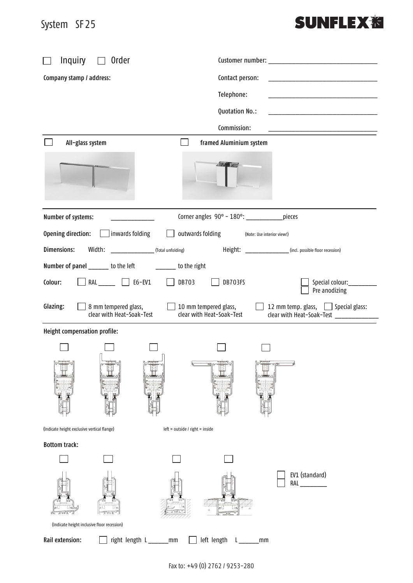## System SF25 System SF25

## **SUNFLEX<sup>%</sup>**

| Inquiry<br>Order                                              |                                                                                                                                             |  |
|---------------------------------------------------------------|---------------------------------------------------------------------------------------------------------------------------------------------|--|
| Company stamp / address:                                      | Contact person:<br><u> 1980 - Jan Barbara, martin amerikan basar dan berasal dalam basar dalam basar dalam basar dalam basar dalam b</u>    |  |
|                                                               | Telephone:                                                                                                                                  |  |
|                                                               | Quotation No.:                                                                                                                              |  |
|                                                               | Commission:                                                                                                                                 |  |
| All-glass system                                              | framed Aluminium system                                                                                                                     |  |
|                                                               | 17.7                                                                                                                                        |  |
| Number of systems:                                            | Corner angles 90° - 180°: _____________ pieces                                                                                              |  |
| Opening direction: $\boxed{\phantom{a}}$<br>] inwards folding | outwards folding<br>$\perp$<br>(Note: Use interior view!)                                                                                   |  |
| Dimensions:<br>Width:<br>(Total unfolding)                    | Height: _______________(incl. possible floor recession)                                                                                     |  |
| Number of panel ______ to the left _______ to the right       |                                                                                                                                             |  |
| RAL ______ $\Box$ E6-EV1<br>Colour:                           | DB703<br>DB703FS<br>Special colour:__________<br>$\perp$<br>Pre anodizing                                                                   |  |
| Glazing:<br>8 mm tempered glass,<br>clear with Heat-Soak-Test | 12 mm temp. glass, Special glass:<br>$\Box$ 10 mm tempered glass,<br>clear with Heat-Soak-Test<br>clear with Heat-Soak-Test _______________ |  |
| Height compensation profile:                                  |                                                                                                                                             |  |
| فاستبعوها                                                     |                                                                                                                                             |  |
| (Indicate height exclusive vertical flange)                   | $left = outside / right = inside$                                                                                                           |  |
| <b>Bottom track:</b>                                          |                                                                                                                                             |  |
|                                                               |                                                                                                                                             |  |
|                                                               | EV1 (standard)<br><b>RAL</b>                                                                                                                |  |
| (Indicate height inclusive floor recession)                   |                                                                                                                                             |  |
| Rail extension:<br>right length L_____                        | left length<br>mm<br>mm                                                                                                                     |  |

Fax to: +49 (0) 2762 / 9253-280